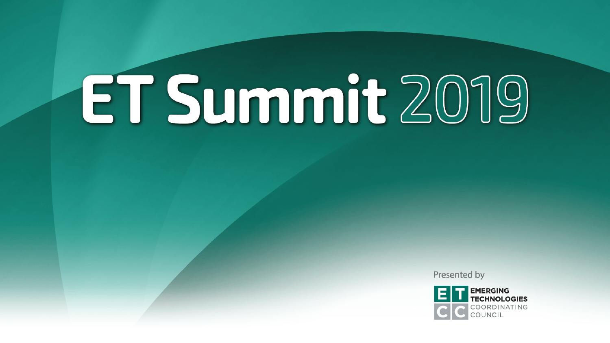# ET Summit 2019

Presented by

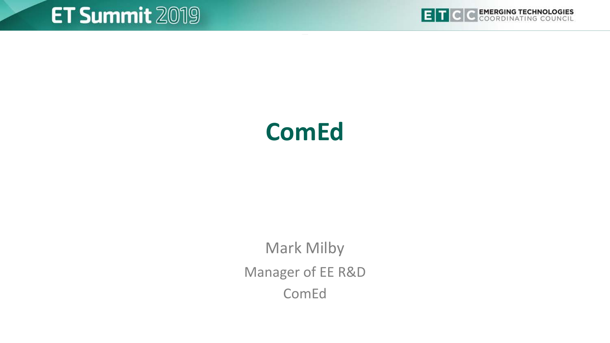



## **ComEd**

Mark Milby Manager of EE R&D ComEd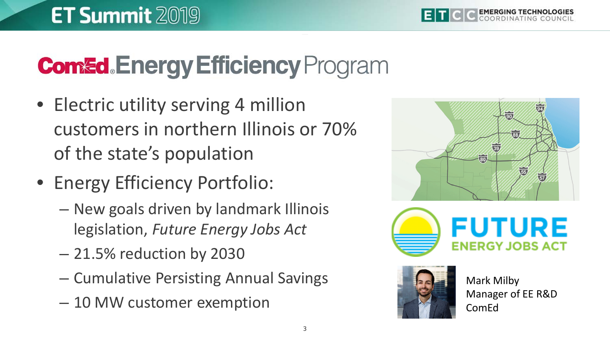## **Comed.Energy Efficiency Program**

- Electric utility serving 4 million customers in northern Illinois or 70% of the state's population
- Energy Efficiency Portfolio:
	- New goals driven by landmark Illinois legislation, *Future Energy Jobs Act*
	- 21.5% reduction by 2030
	- Cumulative Persisting Annual Savings
	- 10 MW customer exemption







Mark Milby Manager of EE R&D ComEd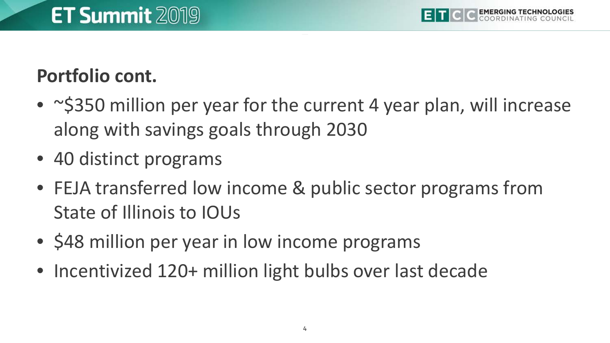#### **Portfolio cont.**

- ~\$350 million per year for the current 4 year plan, will increase along with savings goals through 2030
- 40 distinct programs
- FEJA transferred low income & public sector programs from State of Illinois to IOUs
- \$48 million per year in low income programs
- Incentivized 120+ million light bulbs over last decade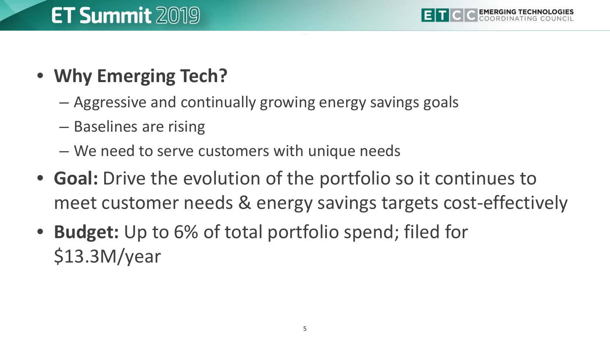#### • **Why Emerging Tech?**

- Aggressive and continually growing energy savings goals
- Baselines are rising
- We need to serve customers with unique needs
- **Goal:** Drive the evolution of the portfolio so it continues to meet customer needs & energy savings targets cost-effectively
- **Budget:** Up to 6% of total portfolio spend; filed for \$13.3M/year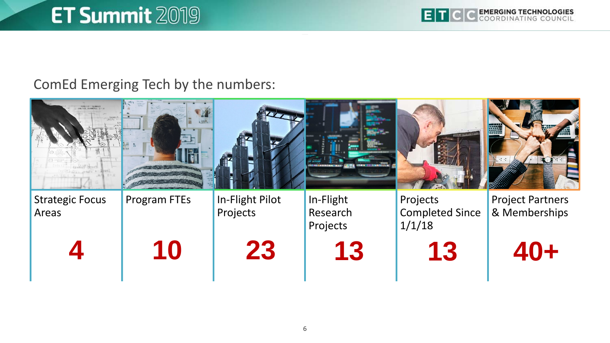### **ET Summit 2019**

#### ComEd Emerging Tech by the numbers: